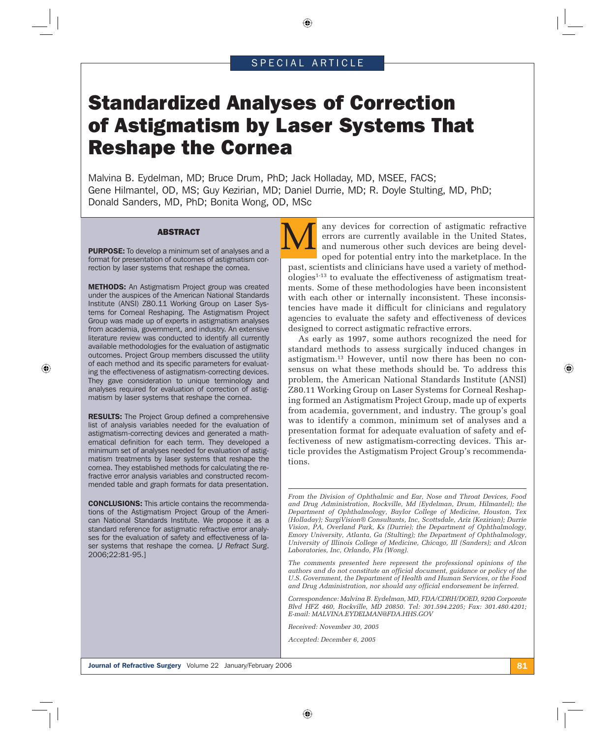# SPECIAL ARTICLE

⊕

# Standardized Analyses of Correction of Astigmatism by Laser Systems That Reshape the Cornea

Malvina B. Eydelman, MD; Bruce Drum, PhD; Jack Holladay, MD, MSEE, FACS; Gene Hilmantel, OD, MS; Guy Kezirian, MD; Daniel Durrie, MD; R. Doyle Stulting, MD, PhD; Donald Sanders, MD, PhD; Bonita Wong, OD, MSc

#### ABSTRACT

**PURPOSE:** To develop a minimum set of analyses and a format for presentation of outcomes of astigmatism correction by laser systems that reshape the cornea.

METHODS: An Astigmatism Project group was created under the auspices of the American National Standards Institute (ANSI) Z80.11 Working Group on Laser Systems for Corneal Reshaping. The Astigmatism Project Group was made up of experts in astigmatism analyses from academia, government, and industry. An extensive literature review was conducted to identify all currently available methodologies for the evaluation of astigmatic outcomes. Project Group members discussed the utility of each method and its specific parameters for evaluating the effectiveness of astigmatism-correcting devices. They gave consideration to unique terminology and analyses required for evaluation of correction of astigmatism by laser systems that reshape the cornea.

⊕

**RESULTS:** The Project Group defined a comprehensive list of analysis variables needed for the evaluation of astigmatism-correcting devices and generated a mathematical definition for each term. They developed a minimum set of analyses needed for evaluation of astigmatism treatments by laser systems that reshape the cornea. They established methods for calculating the refractive error analysis variables and constructed recommended table and graph formats for data presentation.

CONCLUSIONS: This article contains the recommendations of the Astigmatism Project Group of the American National Standards Institute. We propose it as a standard reference for astigmatic refractive error analyses for the evaluation of safety and effectiveness of laser systems that reshape the cornea. [*J Refract Surg*. 2006;22:81-95.]

any devices for correction of astigmatic refractive errors are currently available in the United States, and numerous other such devices are being developed for potential entry into the marketplace. In the past, scientists and clinicians have used a variety of methodologies1-13 to evaluate the effectiveness of astigmatism treatments. Some of these methodologies have been inconsistent with each other or internally inconsistent. These inconsistencies have made it difficult for clinicians and regulatory agencies to evaluate the safety and effectiveness of devices designed to correct astigmatic refractive errors.

As early as 1997, some authors recognized the need for standard methods to assess surgically induced changes in astigmatism.13 However, until now there has been no consensus on what these methods should be. To address this problem, the American National Standards Institute (ANSI) Z80.11 Working Group on Laser Systems for Corneal Reshaping formed an Astigmatism Project Group, made up of experts from academia, government, and industry. The group's goal was to identify a common, minimum set of analyses and a presentation format for adequate evaluation of safety and effectiveness of new astigmatism-correcting devices. This article provides the Astigmatism Project Group's recommendations.

*From the Division of Ophthalmic and Ear, Nose and Throat Devices, Food and Drug Administration, Rockville, Md (Eydelman, Drum, Hilmantel); the Department of Ophthalmology, Baylor College of Medicine, Houston, Tex (Holladay); SurgiVision® Consultants, Inc, Scottsdale, Ariz (Kezirian); Durrie Vision, PA, Overland Park, Ks (Durrie); the Department of Ophthalmology, Emory University, Atlanta, Ga (Stulting); the Department of Ophthalmology, University of Illinois College of Medicine, Chicago, Ill (Sanders); and Alcon Laboratories, Inc, Orlando, Fla (Wong).* 

*The comments presented here represent the professional opinions of the authors and do not constitute an official document, guidance or policy of the U.S. Government, the Department of Health and Human Services, or the Food and Drug Administration, nor should any official endorsement be inferred.*

*Correspondence: Malvina B. Eydelman, MD, FDA/CDRH/DOED, 9200 Corporate Blvd HFZ 460, Rockville, MD 20850. Tel: 301.594.2205; Fax: 301.480.4201; E-mail: MALVINA.EYDELMAN@FDA.HHS.GOV*

*Received: November 30, 2005*

*Accepted: December 6, 2005*

⊕

**Journal of Refractive Surgery** Volume 22 January/February 2006 81 November 2012 1: 81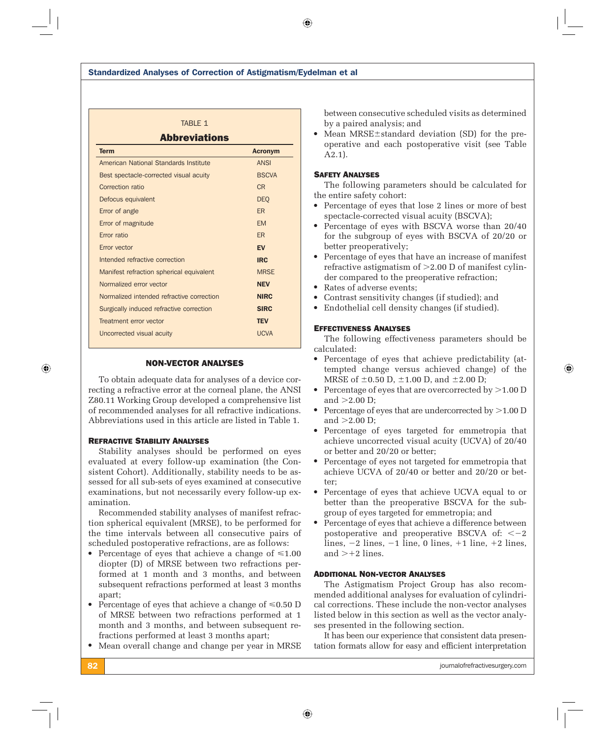# TABLE 1 Abbreviations Term and the contract of the contract of the contract of the contract of the contract of the contract of the contract of the contract of the contract of the contract of the contract of the contract of the contract of the c

| American National Standards Institute     | <b>ANSI</b>  |
|-------------------------------------------|--------------|
| Best spectacle-corrected visual acuity    | <b>BSCVA</b> |
| <b>Correction ratio</b>                   | <b>CR</b>    |
| Defocus equivalent                        | <b>DEO</b>   |
| Error of angle                            | <b>ER</b>    |
| Error of magnitude                        | <b>EM</b>    |
| Error ratio                               | <b>ER</b>    |
| Error vector                              | <b>EV</b>    |
| Intended refractive correction            | <b>IRC</b>   |
| Manifest refraction spherical equivalent  | <b>MRSE</b>  |
| Normalized error vector                   | <b>NEV</b>   |
| Normalized intended refractive correction | <b>NIRC</b>  |
| Surgically induced refractive correction  | <b>SIRC</b>  |
| Treatment error vector                    | <b>TEV</b>   |
| Uncorrected visual acuity                 | <b>UCVA</b>  |
|                                           |              |

# NON-VECTOR ANALYSES

To obtain adequate data for analyses of a device correcting a refractive error at the corneal plane, the ANSI Z80.11 Working Group developed a comprehensive list of recommended analyses for all refractive indications. Abbreviations used in this article are listed in Table 1.

## REFRACTIVE STABILITY ANALYSES

Stability analyses should be performed on eyes evaluated at every follow-up examination (the Consistent Cohort). Additionally, stability needs to be assessed for all sub-sets of eyes examined at consecutive examinations, but not necessarily every follow-up examination.

Recommended stability analyses of manifest refraction spherical equivalent (MRSE), to be performed for the time intervals between all consecutive pairs of scheduled postoperative refractions, are as follows:

- Percentage of eyes that achieve a change of  $\leq 1.00$ diopter (D) of MRSE between two refractions performed at 1 month and 3 months, and between subsequent refractions performed at least 3 months apart;
- Percentage of eyes that achieve a change of  $\leq 0.50$  D of MRSE between two refractions performed at 1 month and 3 months, and between subsequent refractions performed at least 3 months apart;
- Mean overall change and change per year in MRSE

between consecutive scheduled visits as determined by a paired analysis; and

• Mean MRSE±standard deviation (SD) for the preoperative and each postoperative visit (see Table A2.1).

# SAFETY ANALYSES

 $\bigcirc$ 

The following parameters should be calculated for the entire safety cohort:

- Percentage of eyes that lose 2 lines or more of best spectacle-corrected visual acuity (BSCVA);
- Percentage of eyes with BSCVA worse than 20/40 for the subgroup of eyes with BSCVA of 20/20 or better preoperatively;
- Percentage of eyes that have an increase of manifest refractive astigmatism of  $>2.00$  D of manifest cylinder compared to the preoperative refraction;
- Rates of adverse events;
- Contrast sensitivity changes (if studied); and
- Endothelial cell density changes (if studied).

# EFFECTIVENESS ANALYSES

The following effectiveness parameters should be calculated:

- Percentage of eyes that achieve predictability (attempted change versus achieved change) of the MRSE of  $\pm$ 0.50 D,  $\pm$ 1.00 D, and  $\pm$ 2.00 D;
- Percentage of eyes that are overcorrected by  $>1.00$  D and  $>2.00$  D;
- Percentage of eyes that are undercorrected by  $>1.00$  D and  $>2.00$  D;
- Percentage of eyes targeted for emmetropia that achieve uncorrected visual acuity (UCVA) of 20/40 or better and 20/20 or better;
- Percentage of eyes not targeted for emmetropia that achieve UCVA of 20/40 or better and 20/20 or better;
- Percentage of eyes that achieve UCVA equal to or better than the preoperative BSCVA for the subgroup of eyes targeted for emmetropia; and
- Percentage of eyes that achieve a difference between postoperative and preoperative BSCVA of:  $<-2$ lines,  $-2$  lines,  $-1$  line, 0 lines,  $+1$  line,  $+2$  lines, and  $> +2$  lines.

## ADDITIONAL NON-VECTOR ANALYSES

⊕

The Astigmatism Project Group has also recommended additional analyses for evaluation of cylindrical corrections. These include the non-vector analyses listed below in this section as well as the vector analyses presented in the following section.

It has been our experience that consistent data presentation formats allow for easy and efficient interpretation ⊕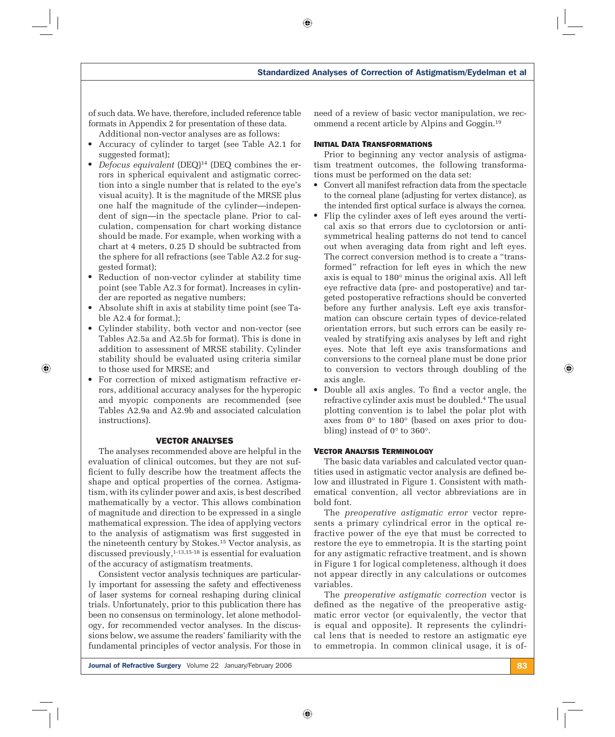of such data. We have, therefore, included reference table formats in Appendix 2 for presentation of these data.

Additional non-vector analyses are as follows:

- Accuracy of cylinder to target (see Table A2.1 for suggested format);
- *Defocus equivalent* (DEQ)<sup>14</sup> (DEQ combines the errors in spherical equivalent and astigmatic correction into a single number that is related to the eye's visual acuity). It is the magnitude of the MRSE plus one half the magnitude of the cylinder—independent of sign—in the spectacle plane. Prior to calculation, compensation for chart working distance should be made. For example, when working with a chart at 4 meters, 0.25 D should be subtracted from the sphere for all refractions (see Table A2.2 for suggested format);
- Reduction of non-vector cylinder at stability time point (see Table A2.3 for format). Increases in cylinder are reported as negative numbers;
- Absolute shift in axis at stability time point (see Table A2.4 for format.);
- Cylinder stability, both vector and non-vector (see Tables A2.5a and A2.5b for format). This is done in addition to assessment of MRSE stability. Cylinder stability should be evaluated using criteria similar to those used for MRSE; and

⊕

● For correction of mixed astigmatism refractive errors, additional accuracy analyses for the hyperopic and myopic components are recommended (see Tables A2.9a and A2.9b and associated calculation instructions).

## VECTOR ANALYSES

The analyses recommended above are helpful in the evaluation of clinical outcomes, but they are not sufficient to fully describe how the treatment affects the shape and optical properties of the cornea. Astigmatism, with its cylinder power and axis, is best described mathematically by a vector. This allows combination of magnitude and direction to be expressed in a single mathematical expression. The idea of applying vectors to the analysis of astigmatism was first suggested in the nineteenth century by Stokes.15 Vector analysis, as discussed previously,  $1-13,15-18$  is essential for evaluation of the accuracy of astigmatism treatments.

Consistent vector analysis techniques are particularly important for assessing the safety and effectiveness of laser systems for corneal reshaping during clinical trials. Unfortunately, prior to this publication there has been no consensus on terminology, let alone methodology, for recommended vector analyses. In the discussions below, we assume the readers' familiarity with the fundamental principles of vector analysis. For those in need of a review of basic vector manipulation, we recommend a recent article by Alpins and Goggin.19

#### INITIAL DATA TRANSFORMATIONS

 $\bigcirc$ 

Prior to beginning any vector analysis of astigmatism treatment outcomes, the following transformations must be performed on the data set:

- Convert all manifest refraction data from the spectacle to the corneal plane (adjusting for vertex distance), as the intended first optical surface is always the cornea.
- Flip the cylinder axes of left eyes around the vertical axis so that errors due to cyclotorsion or antisymmetrical healing patterns do not tend to cancel out when averaging data from right and left eyes. The correct conversion method is to create a "transformed" refraction for left eyes in which the new axis is equal to 180° minus the original axis. All left eye refractive data (pre- and postoperative) and targeted postoperative refractions should be converted before any further analysis. Left eye axis transformation can obscure certain types of device-related orientation errors, but such errors can be easily revealed by stratifying axis analyses by left and right eyes. Note that left eye axis transformations and conversions to the corneal plane must be done prior to conversion to vectors through doubling of the axis angle.
- Double all axis angles. To find a vector angle, the refractive cylinder axis must be doubled.4 The usual plotting convention is to label the polar plot with axes from 0° to 180° (based on axes prior to doubling) instead of 0° to 360°.

## VECTOR ANALYSIS TERMINOLOGY

⊕

The basic data variables and calculated vector quantities used in astigmatic vector analysis are defined below and illustrated in Figure 1. Consistent with mathematical convention, all vector abbreviations are in bold font.

The *preoperative astigmatic error* vector represents a primary cylindrical error in the optical refractive power of the eye that must be corrected to restore the eye to emmetropia. It is the starting point for any astigmatic refractive treatment, and is shown in Figure 1 for logical completeness, although it does not appear directly in any calculations or outcomes variables.

The *preoperative astigmatic correction* vector is defined as the negative of the preoperative astigmatic error vector (or equivalently, the vector that is equal and opposite). It represents the cylindrical lens that is needed to restore an astigmatic eye to emmetropia. In common clinical usage, it is of-

Journal of Refractive Surgery Volume 22 January/February 2006 83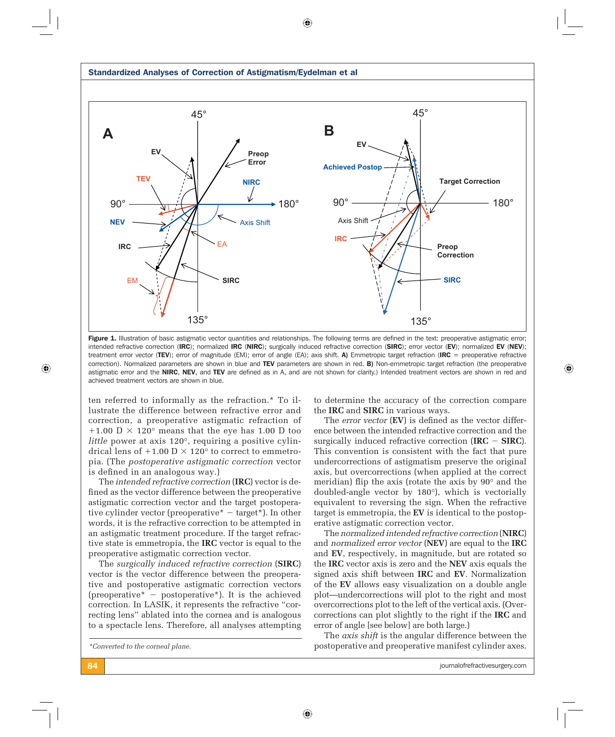

 $\bigcirc$ 

Figure 1. Illustration of basic astigmatic vector quantities and relationships. The following terms are defined in the text: preoperative astigmatic error; intended refractive correction (IRC); normalized IRC (NIRC); surgically induced refractive correction (SIRC); error vector (EV); normalized EV (NEV); treatment error vector (TEV); error of magnitude (EM); error of angle (EA); axis shift. A) Emmetropic target refraction (IRC = preoperative refractive correction). Normalized parameters are shown in blue and TEV parameters are shown in red. B) Non-emmetropic target refraction (the preoperative astigmatic error and the NIRC, NEV, and TEV are defined as in A, and are not shown for clarity.) Intended treatment vectors are shown in red and achieved treatment vectors are shown in blue.

ten referred to informally as the refraction.\* To illustrate the difference between refractive error and correction, a preoperative astigmatic refraction of +1.00 D  $\times$  120 $^{\circ}$  means that the eye has 1.00 D too *little* power at axis 120°, requiring a positive cylindrical lens of  $+1.00$  D  $\times$  120 $\degree$  to correct to emmetropia. (The *postoperative astigmatic correction* vector is defined in an analogous way.)

The *intended refractive correction* (**IRC**) vector is defined as the vector difference between the preoperative astigmatic correction vector and the target postoperative cylinder vector (preoperative  $* -$  target  $*$ ). In other words, it is the refractive correction to be attempted in an astigmatic treatment procedure. If the target refractive state is emmetropia, the **IRC** vector is equal to the preoperative astigmatic correction vector.

The *surgically induced refractive correction* (**SIRC**) vector is the vector difference between the preoperative and postoperative astigmatic correction vectors (preoperative\*  $-$  postoperative\*). It is the achieved correction. In LASIK, it represents the refractive "correcting lens" ablated into the cornea and is analogous to a spectacle lens. Therefore, all analyses attempting to determine the accuracy of the correction compare the **IRC** and **SIRC** in various ways.

The *error vector* (EV) is defined as the vector difference between the intended refractive correction and the surgically induced refractive correction  $(IRC - SIRC)$ . This convention is consistent with the fact that pure undercorrections of astigmatism preserve the original axis, but overcorrections (when applied at the correct meridian) flip the axis (rotate the axis by  $90^\circ$  and the doubled-angle vector by 180°), which is vectorially equivalent to reversing the sign. When the refractive target is emmetropia, the **EV** is identical to the postoperative astigmatic correction vector.

The *normalized intended refractive correction* (**NIRC**) and *normalized error vector* (**NEV**) are equal to the **IRC** and **EV**, respectively, in magnitude, but are rotated so the **IRC** vector axis is zero and the **NEV** axis equals the signed axis shift between **IRC** and **EV**. Normalization of the **EV** allows easy visualization on a double angle plot—undercorrections will plot to the right and most overcorrections plot to the left of the vertical axis. (Overcorrections can plot slightly to the right if the **IRC** and error of angle [see below] are both large.)

The *axis shift* is the angular difference between the postoperative and preoperative manifest cylinder axes.

*\*Converted to the corneal plane.*

**84 strategies** in the strategies of the strategies of the strategies of the strategies of the strategies of the strategies of the strategies of the strategies of the strategies of the strategies of the strategies of the s

⊕

 $\bigoplus$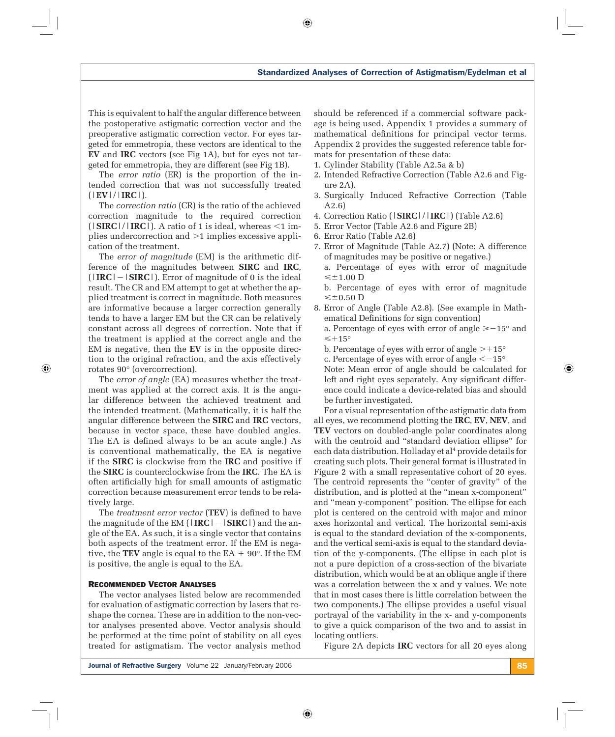$\bigcirc$ 

This is equivalent to half the angular difference between the postoperative astigmatic correction vector and the preoperative astigmatic correction vector. For eyes targeted for emmetropia, these vectors are identical to the **EV** and **IRC** vectors (see Fig 1A), but for eyes not targeted for emmetropia, they are different (see Fig 1B).

The *error ratio* (ER) is the proportion of the intended correction that was not successfully treated (|**EV**|/|**IRC**|).

The *correction ratio* (CR) is the ratio of the achieved correction magnitude to the required correction  $(|SIRC|/|IRC|)$ . A ratio of 1 is ideal, whereas  $\leq 1$  implies undercorrection and  $>1$  implies excessive application of the treatment.

The *error of magnitude* (EM) is the arithmetic difference of the magnitudes between **SIRC** and **IRC**,  $(|IRC|-|SIRC|)$ . Error of magnitude of 0 is the ideal result. The CR and EM attempt to get at whether the applied treatment is correct in magnitude. Both measures are informative because a larger correction generally tends to have a larger EM but the CR can be relatively constant across all degrees of correction. Note that if the treatment is applied at the correct angle and the EM is negative, then the **EV** is in the opposite direction to the original refraction, and the axis effectively rotates 90° (overcorrection).

The *error of angle* (EA) measures whether the treatment was applied at the correct axis. It is the angular difference between the achieved treatment and the intended treatment. (Mathematically, it is half the angular difference between the **SIRC** and **IRC** vectors, because in vector space, these have doubled angles. The EA is defined always to be an acute angle.) As is conventional mathematically, the EA is negative if the **SIRC** is clockwise from the **IRC** and positive if the **SIRC** is counterclockwise from the **IRC**. The EA is often artificially high for small amounts of astigmatic correction because measurement error tends to be relatively large.

The *treatment error vector* (TEV) is defined to have the magnitude of the EM  $(|IRC| - |SIRC|)$  and the angle of the EA. As such, it is a single vector that contains both aspects of the treatment error. If the EM is negative, the **TEV** angle is equal to the  $EA + 90^\circ$ . If the EM is positive, the angle is equal to the EA.

#### RECOMMENDED VECTOR ANALYSES

 $\bigoplus$ 

The vector analyses listed below are recommended for evaluation of astigmatic correction by lasers that reshape the cornea. These are in addition to the non-vector analyses presented above. Vector analysis should be performed at the time point of stability on all eyes treated for astigmatism. The vector analysis method should be referenced if a commercial software package is being used. Appendix 1 provides a summary of mathematical definitions for principal vector terms. Appendix 2 provides the suggested reference table formats for presentation of these data:

- 1. Cylinder Stability (Table A2.5a & b)
- 2. Intended Refractive Correction (Table A2.6 and Figure 2A).
- 3. Surgically Induced Refractive Correction (Table A2.6)
- 4. Correction Ratio (|**SIRC**|/|**IRC**|) (Table A2.6)
- 5. Error Vector (Table A2.6 and Figure 2B)
- 6. Error Ratio (Table A2.6)
- 7. Error of Magnitude (Table A2.7) (Note: A difference of magnitudes may be positive or negative.) a. Percentage of eyes with error of magnitude
	- $\leq \pm 1.00$  D
	- b. Percentage of eyes with error of magnitude  $\leq$  ±0.50 D
- 8. Error of Angle (Table A2.8). (See example in Mathematical Definitions for sign convention)
	- a. Percentage of eyes with error of angle  $\ge -15^{\circ}$  and  $\leqslant$  +15°
	- b. Percentage of eyes with error of angle  $>+15^{\circ}$
	- c. Percentage of eyes with error of angle  $\leq -15^{\circ}$

Note: Mean error of angle should be calculated for left and right eyes separately. Any significant difference could indicate a device-related bias and should be further investigated.

For a visual representation of the astigmatic data from all eyes, we recommend plotting the **IRC**, **EV**, **NEV**, and **TEV** vectors on doubled-angle polar coordinates along with the centroid and "standard deviation ellipse" for each data distribution. Holladay et al<sup>4</sup> provide details for creating such plots. Their general format is illustrated in Figure 2 with a small representative cohort of 20 eyes. The centroid represents the "center of gravity" of the distribution, and is plotted at the "mean x-component" and "mean y-component" position. The ellipse for each plot is centered on the centroid with major and minor axes horizontal and vertical. The horizontal semi-axis is equal to the standard deviation of the x-components, and the vertical semi-axis is equal to the standard deviation of the y-components. (The ellipse in each plot is not a pure depiction of a cross-section of the bivariate distribution, which would be at an oblique angle if there was a correlation between the x and y values. We note that in most cases there is little correlation between the two components.) The ellipse provides a useful visual portrayal of the variability in the x- and y-components to give a quick comparison of the two and to assist in locating outliers.

Figure 2A depicts **IRC** vectors for all 20 eyes along

Journal of Refractive Surgery Volume 22 January/February 2006 85 and the state of the Surgery 1985

⊕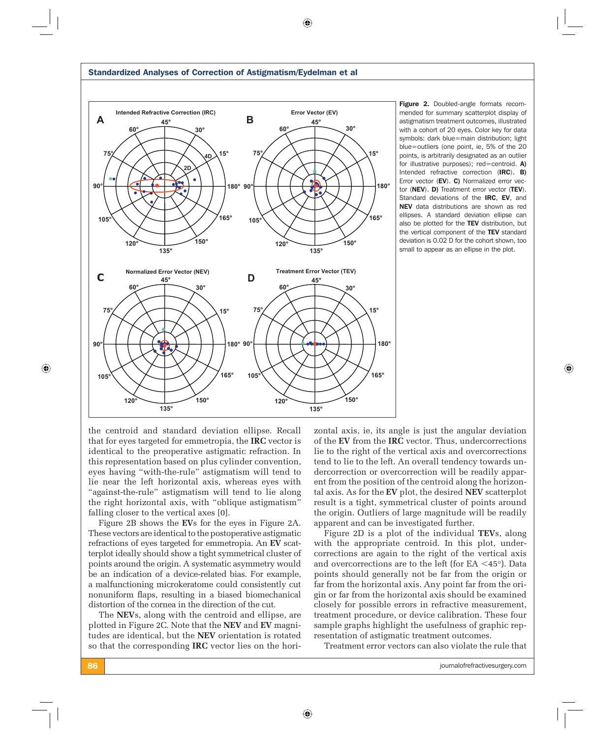

 $\bigcirc$ 

Standardized Analyses of Correction of Astigmatism/Eydelman et al

mended for summary scatterplot display of astigmatism treatment outcomes, illustrated with a cohort of 20 eyes. Color key for data symbols: dark blue=main distribution; light blue=outliers (one point, ie, 5% of the 20 points, is arbitrarily designated as an outlier for illustrative purposes); red=centroid. A) Intended refractive correction (IRC). B) Error vector (EV). C) Normalized error vector (NEV). D) Treatment error vector (TEV). Standard deviations of the **IRC, EV**, and NEV data distributions are shown as red ellipses. A standard deviation ellipse can also be plotted for the TEV distribution, but the vertical component of the TEV standard deviation is 0.02 D for the cohort shown, too small to appear as an ellipse in the plot.

⊕

the centroid and standard deviation ellipse. Recall that for eyes targeted for emmetropia, the **IRC** vector is identical to the preoperative astigmatic refraction. In this representation based on plus cylinder convention, eyes having "with-the-rule" astigmatism will tend to lie near the left horizontal axis, whereas eyes with "against-the-rule" astigmatism will tend to lie along the right horizontal axis, with "oblique astigmatism" falling closer to the vertical axes [0].

Figure 2B shows the **EV**s for the eyes in Figure 2A. These vectors are identical to the postoperative astigmatic refractions of eyes targeted for emmetropia. An **EV** scatterplot ideally should show a tight symmetrical cluster of points around the origin. A systematic asymmetry would be an indication of a device-related bias. For example, a malfunctioning microkeratome could consistently cut nonuniform flaps, resulting in a biased biomechanical distortion of the cornea in the direction of the cut.

The **NEV**s, along with the centroid and ellipse, are plotted in Figure 2C. Note that the **NEV** and **EV** magnitudes are identical, but the **NEV** orientation is rotated so that the corresponding **IRC** vector lies on the horizontal axis, ie, its angle is just the angular deviation of the **EV** from the **IRC** vector. Thus, undercorrections lie to the right of the vertical axis and overcorrections tend to lie to the left. An overall tendency towards undercorrection or overcorrection will be readily apparent from the position of the centroid along the horizontal axis. As for the **EV** plot, the desired **NEV** scatterplot result is a tight, symmetrical cluster of points around the origin. Outliers of large magnitude will be readily apparent and can be investigated further.

Figure 2D is a plot of the individual **TEV**s, along with the appropriate centroid. In this plot, undercorrections are again to the right of the vertical axis and overcorrections are to the left (for EA  $\leq$ 45°). Data points should generally not be far from the origin or far from the horizontal axis. Any point far from the origin or far from the horizontal axis should be examined closely for possible errors in refractive measurement, treatment procedure, or device calibration. These four sample graphs highlight the usefulness of graphic representation of astigmatic treatment outcomes.

Treatment error vectors can also violate the rule that

86 journalofrefractivesurgery.com

 $\bigoplus$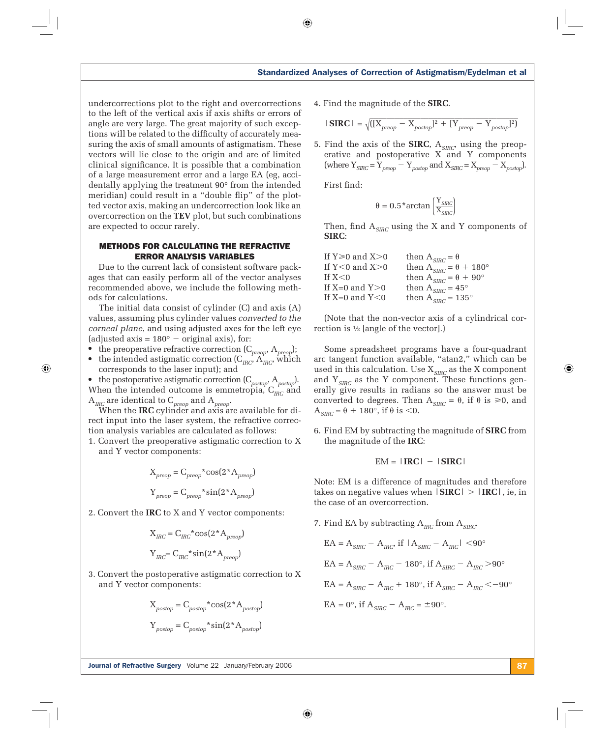undercorrections plot to the right and overcorrections to the left of the vertical axis if axis shifts or errors of angle are very large. The great majority of such exceptions will be related to the difficulty of accurately measuring the axis of small amounts of astigmatism. These vectors will lie close to the origin and are of limited clinical significance. It is possible that a combination of a large measurement error and a large EA (eg, accidentally applying the treatment 90° from the intended meridian) could result in a "double flip" of the plotted vector axis, making an undercorrection look like an overcorrection on the **TEV** plot, but such combinations are expected to occur rarely.

# METHODS FOR CALCULATING THE REFRACTIVE ERROR ANALYSIS VARIABLES

Due to the current lack of consistent software packages that can easily perform all of the vector analyses recommended above, we include the following methods for calculations.

The initial data consist of cylinder (C) and axis (A) values, assuming plus cylinder values *converted to the corneal plane*, and using adjusted axes for the left eye (adjusted axis =  $180^\circ$  – original axis), for:

 $\bullet$  the preoperative refractive correction  $(C_{\text{preop}}, A_{\text{preop}});$ 

 $\bigoplus$ 

• the intended astigmatic correction  $(C_{I\!R\!C}, A_{I\!R\!C}, A_{I\!R\!C})$ corresponds to the laser input); and

● the postoperative astigmatic correction (C*postop*, A*postop*). When the intended outcome is emmetropia,  $C_{IRC}$  and A*IRC* are identical to C *preop* and A *preop*.

When the **IRC** cylinder and axis are available for direct input into the laser system, the refractive correction analysis variables are calculated as follows:

1. Convert the preoperative astigmatic correction to X and Y vector components:

$$
X_{preop} = C_{preop} * \cos(2*A_{preop})
$$

$$
Y_{preop} = C_{preop} * \sin(2*A_{preop})
$$

2. Convert the **IRC** to X and Y vector components:

$$
X_{IRC} = C_{IRC} * \cos(2*A_{preop})
$$

$$
Y_{IRC} = C_{IRC} * \sin(2*A_{preop})
$$

3. Convert the postoperative astigmatic correction to X and Y vector components:

$$
X_{postop} = C_{postop} * cos(2*A_{postop})
$$

$$
Y_{postop} = C_{postop} * sin(2*A_{postop})
$$

4. Find the magnitude of the **SIRC**.

$$
|\text{SIRC}| = \sqrt{([X_{preop} - X_{postop}]^2 + [Y_{preop} - Y_{postop}]^2)}
$$

5. Find the axis of the **SIRC**, A*SIRC*, using the preoperative and postoperative X and Y components  $(\text{where } Y_{SIRC} = Y_{preop} - Y_{postop} \text{ and } X_{SIRC} = X_{preop} - X_{postop}).$ 

First find:

 $\bigcirc$ 

$$
\theta = 0.5 \text{ *arctan}\left(\frac{Y_{\text{SIRC}}}{X_{\text{SIRC}}}\right)
$$

Then, find  $A_{SIRC}$  using the X and Y components of **SIRC**:

| If Y $\geqslant$ 0 and X $>$ 0 | then $A_{SIRC} = \theta$               |
|--------------------------------|----------------------------------------|
| If Y $<$ 0 and X $>$ 0         | then $A_{SIRC} = \theta + 180^{\circ}$ |
| If $X<$ 0                      | then $A_{SIRC} = \theta + 90^{\circ}$  |
| If X=0 and Y>0 $\,$            | then $A_{SIRC} = 45^{\circ}$           |
| If X=0 and Y $<$ 0             | then $A_{SIRC} = 135^{\circ}$          |
|                                |                                        |

(Note that the non-vector axis of a cylindrical correction is ½ [angle of the vector].)

Some spreadsheet programs have a four-quadrant arc tangent function available, "atan2," which can be used in this calculation. Use  $\mathbf{X}_{S I R C}$  as the X component and  $Y_{SIRC}$  as the Y component. These functions generally give results in radians so the answer must be converted to degrees. Then  $A_{SIRC} = \theta$ , if  $\theta$  is  $\geq 0$ , and  $A_{SIRC} = \theta + 180^\circ$ , if  $\theta$  is <0.

6. Find EM by subtracting the magnitude of **SIRC** from the magnitude of the **IRC**:

$$
EM = |IRC| - |SIRC|
$$

Note: EM is a difference of magnitudes and therefore takes on negative values when  $|\text{SIRC}| > |\text{IRC}|$ , ie, in the case of an overcorrection.

7. Find EA by subtracting A*IRC* from A*SIRC*.

$$
EA = ASIRC - AHC
$$
 if  $|ASIRC - AHC|$   $< 90^{\circ}$   

$$
EA = ASIRC - AHC - 180^{\circ}, \text{ if } ASIRC - AHC > 90^{\circ}
$$
  

$$
EA = ASIRC - AHC + 180^{\circ}, \text{ if } ASIRC - AHC < -90^{\circ}
$$

$$
EA = 0^{\circ}, \text{ if } A_{SIRC} - A_{IRC} = \pm 90^{\circ}.
$$

 $\textcircled{\scriptsize{+}}$ 

**Journal of Refractive Surgery** Volume 22 January/February 2006 87 Number 2006 87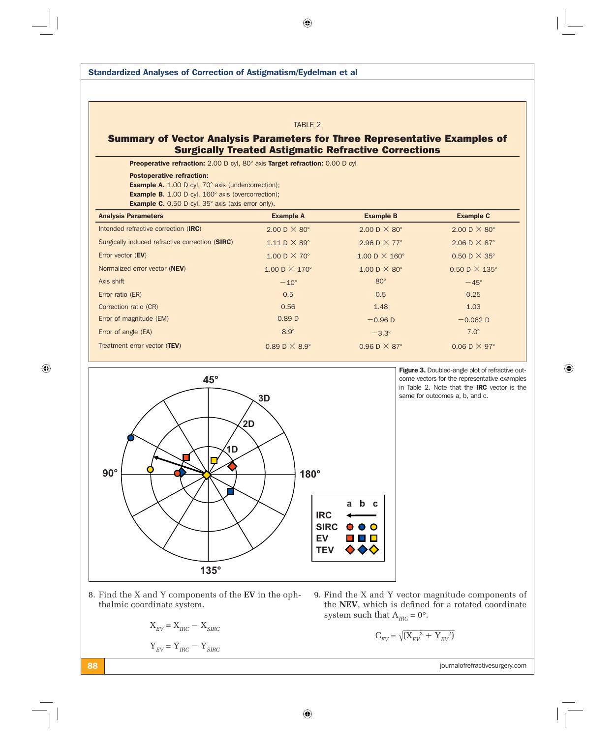Standardized Analyses of Correction of Astigmatism/Eydelman et al TABLE 2 Summary of Vector Analysis Parameters for Three Representative Examples of Surgically Treated Astigmatic Refractive Corrections Preoperative refraction: 2.00 D cyl, 80° axis Target refraction: 0.00 D cyl Postoperative refraction: Example A. 1.00 D cyl, 70° axis (undercorrection); **Example B.** 1.00 D cyl, 160° axis (overcorrection); Example C. 0.50 D cyl, 35° axis (axis error only). Analysis Parameters **Example A** Example A Example B Example C Intended refractive correction (IRC) 2.00 D  $\times$  80° 2.00 D  $\times$  80° 2.00 D  $\times$  80° Surgically induced refractive correction (SIRC)  $1.11 \text{ D} \times 89^\circ$  2.96 D  $\times 77^\circ$  2.06 D  $\times 87^\circ$ Error vector (EV) 1.00 D  $\times$  70° 1.00 D  $\times$  160° 0.50 D  $\times$  35° Normalized error vector (NEV) 1.00 D  $\times$  170° 1.00 D  $\times$  80° 0.50 D  $\times$  135° Axis shift  $-45^\circ$ Error ratio (ER) 0.5 0.5 0.25 Correction ratio (CR) 0.56 1.48 1.03 Error of magnitude (EM)  $-0.89 \text{ D}$   $-0.96 \text{ D}$   $-0.96 \text{ D}$   $-0.062 \text{ D}$ Error of angle (EA)  $8.9^\circ$   $-3.3^\circ$   $7.0^\circ$ Treatment error vector (TEV) 0.89 D  $\times$  8.9° 0.96 D  $\times$  87° 0.06 D  $\times$  97°



Figure 3. Doubled-angle plot of refractive outcome vectors for the representative examples in Table 2. Note that the IRC vector is the same for outcomes a, b, and c.

 $\bigoplus$ 

8. Find the X and Y components of the **EV** in the ophthalmic coordinate system.

$$
\mathbf{X}_{EV} = \mathbf{X}_{IRC} - \mathbf{X}_{SIRC}
$$

$$
\mathbf{Y}_{EV} = \mathbf{Y}_{IRC} - \mathbf{Y}_{SIRC}
$$

9. Find the X and Y vector magnitude components of the NEV, which is defined for a rotated coordinate system such that  $A_{\text{IRC}} = 0^{\circ}$ .

$$
\text{C}_{\text{EV}} = \sqrt{(\text{X}_{\text{EV}}^{2} + \text{Y}_{\text{EV}}^{2})}
$$

88 journalofrefractivesurgery.com

 $\bigoplus$ 

 $\bigoplus$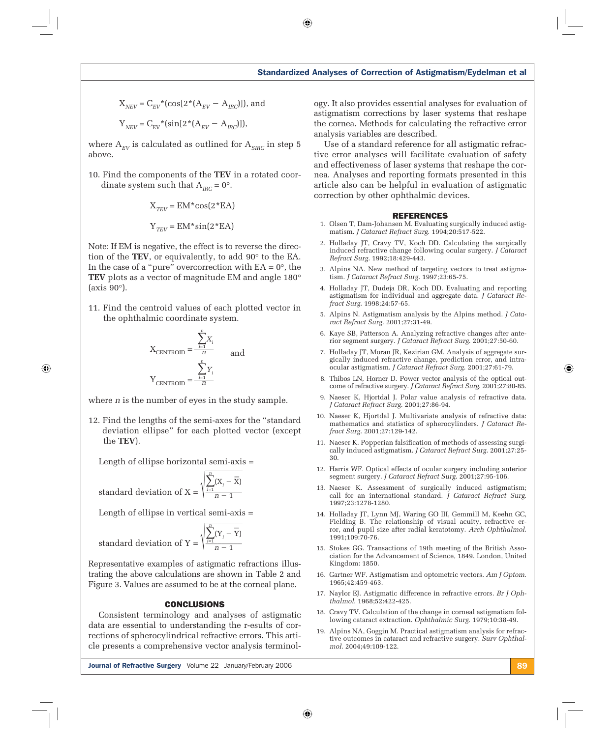$\bigcirc$ 

$$
X_{_{NEV}} = C_{_{EV}} * (\cos[2*(A_{_{EV}} - A_{_{IRC}})]), \text{ and}
$$

$$
Y_{_{NEV}} = C_{_{EV}} * (\sin[2*(A_{_{EV}} - A_{_{IRC}})]),
$$

where  $A_{EV}$  is calculated as outlined for  $A_{SIRC}$  in step 5 above.

10. Find the components of the **TEV** in a rotated coor dinate system such that  $A_{\text{IRC}} = 0^{\circ}$ .

$$
X_{TEV} = EM * cos(2 * EA)
$$

$$
Y_{TEV} = EM * sin(2 * EA)
$$

Note: If EM is negative, the effect is to reverse the direction of the **TEV**, or equivalently, to add 90° to the EA. In the case of a "pure" overcorrection with  $EA = 0$ °, the **TEV** plots as a vector of magnitude EM and angle 180° (axis 90°).

11. Find the centroid values of each plotted vector in the ophthalmic coordinate system.

$$
X_{\text{CENTROID}} = \frac{\sum_{i=1}^{n} X_i}{n}
$$
 and  

$$
Y_{\text{CENTROID}} = \frac{\sum_{i=1}^{n} Y_i}{n}
$$

where *n* is the number of eyes in the study sample.

12. Find the lengths of the semi-axes for the "standard deviation ellipse" for each plotted vector (except the **TEV**).

Length of ellipse horizontal semi-axis =  $\overline{\phantom{a}}$ 

standard deviation of 
$$
X = \sqrt{\sum_{i=1}^{n} (X_i - \overline{X})}
$$

 $\bigoplus$ 

Length of ellipse in vertical semi-axis =  $\overline{\phantom{a}}$ 

standard deviation of 
$$
Y = \sqrt{\frac{\sum_{i=1}^{n} (Y_i - \overline{Y})}{n-1}}
$$

Representative examples of astigmatic refractions illustrating the above calculations are shown in Table 2 and Figure 3. Values are assumed to be at the corneal plane.

#### CONCLUSIONS

Consistent terminology and analyses of astigmatic data are essential to understanding the r-esults of corrections of spherocylindrical refractive errors. This article presents a comprehensive vector analysis terminol-

**Journal of Refractive Surgery** Volume 22 January/February 2006 89 November 2006 89

ogy. It also provides essential analyses for evaluation of astigmatism corrections by laser systems that reshape the cornea. Methods for calculating the refractive error analysis variables are described.

Use of a standard reference for all astigmatic refractive error analyses will facilitate evaluation of safety and effectiveness of laser systems that reshape the cornea. Analyses and reporting formats presented in this article also can be helpful in evaluation of astigmatic correction by other ophthalmic devices.

#### REFERENCES

- 1. Olsen T, Dam-Johansen M. Evaluating surgically induced astigmatism. *J Cataract Refract Surg*. 1994;20:517-522.
- 2. Holladay JT, Cravy TV, Koch DD. Calculating the surgically induced refractive change following ocular surgery. *J Cataract Refract Surg*. 1992;18:429-443.
- 3. Alpins NA. New method of targeting vectors to treat astigmatism. *J Cataract Refract Surg*. 1997;23:65-75.
- 4. Holladay JT, Dudeja DR, Koch DD. Evaluating and reporting astigmatism for individual and aggregate data. *J Cataract Refract Surg*. 1998;24:57-65.
- 5. Alpins N. Astigmatism analysis by the Alpins method. *J Cataract Refract Surg*. 2001;27:31-49.
- 6. Kaye SB, Patterson A. Analyzing refractive changes after anterior segment surgery. *J Cataract Refract Surg*. 2001;27:50-60.
- 7. Holladay JT, Moran JR, Kezirian GM. Analysis of aggregate surgically induced refractive change, prediction error, and intraocular astigmatism. *J Cataract Refract Surg*. 2001;27:61-79.
- 8. Thibos LN, Horner D. Power vector analysis of the optical outcome of refractive surgery. *J Cataract Refract Surg*. 2001;27:80-85.
- 9. Naeser K, Hjortdal J. Polar value analysis of refractive data. *J Cataract Refract Surg*. 2001;27:86-94.
- 10. Naeser K, Hjortdal J. Multivariate analysis of refractive data: mathematics and statistics of spherocylinders. *J Cataract Refract Surg*. 2001;27:129-142.
- 11. Naeser K. Popperian falsification of methods of assessing surgically induced astigmatism. *J Cataract Refract Surg*. 2001;27:25- 30.
- 12. Harris WF. Optical effects of ocular surgery including anterior segment surgery. *J Cataract Refract Surg*. 2001;27:95-106.
- 13. Naeser K. Assessment of surgically induced astigmatism; call for an international standard. *J Cataract Refract Surg*. 1997;23:1278-1280.
- 14. Holladay JT, Lynn MJ, Waring GO III, Gemmill M, Keehn GC, Fielding B. The relationship of visual acuity, refractive error, and pupil size after radial keratotomy. *Arch Ophthalmol*. 1991;109:70-76.
- 15. Stokes GG. Transactions of 19th meeting of the British Association for the Advancement of Science, 1849. London, United Kingdom: 1850.
- 16. Gartner WF. Astigmatism and optometric vectors. *Am J Optom*. 1965;42:459-463.
- 17. Naylor EJ. Astigmatic difference in refractive errors. *Br J Ophthalmol*. 1968;52:422-425.
- 18. Cravy TV. Calculation of the change in corneal astigmatism following cataract extraction. *Ophthalmic Surg*. 1979;10:38-49.
- 19. Alpins NA, Goggin M. Practical astigmatism analysis for refractive outcomes in cataract and refractive surgery. *Surv Ophthalmol*. 2004;49:109-122.

⊕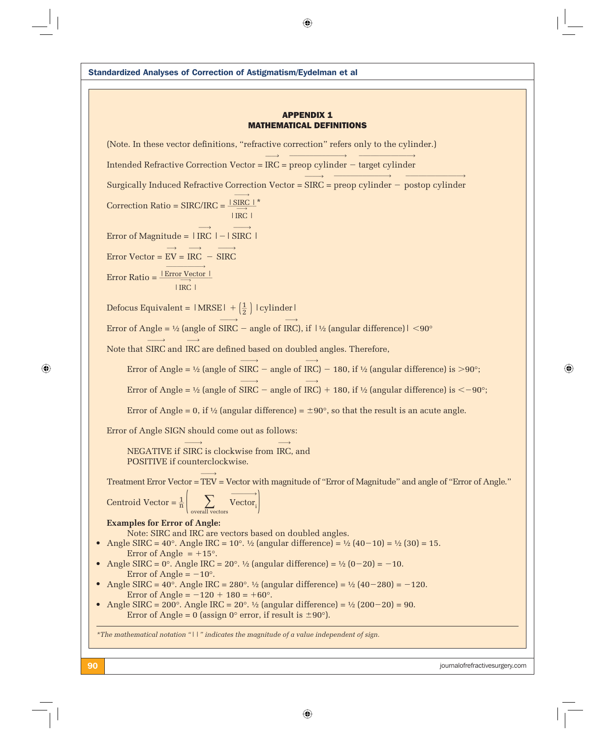90 journalofrefractivesurgery.com Standardized Analyses of Correction of Astigmatism/Eydelman et al APPENDIX 1 MATHEMATICAL DEFINITIONS (Note. In these vector definitions, "refractive correction" refers only to the cylinder.) Intended Refractive Correction Vector = IRC= preop cylinder target cylinder  $\longrightarrow$  $\overline{\phantom{a}}$   $\longrightarrow$  $\overbrace{\hspace{25mm}}^{..}$ Surgically Induced Refractive Correction Vector = SIRC = preop cylinder – postop cylinder  $\longrightarrow$  $\overbrace{\hspace{2.5cm}}^{...}$  $\overbrace{\hspace{2.5cm}}^{...}$ Correction Ratio = SIRC/IRC =  $\frac{|\text{ SIRC }|}{\longrightarrow}^*$  $\longrightarrow$  $|$  IRC  $|$ Error of Magnitude =  $|\text{ IRC }| - |\text{ SIRC }|$  $\longrightarrow$  $\longrightarrow$ Error Vector =  $\longrightarrow$  $EV =$  $\longrightarrow$  $\text{IRC}$  –  $\longrightarrow$ SIRC Error Ratio =  $\frac{\mid \; \cdot \mid}{\mid}$  $\overbrace{\hspace{2.5cm}}^{...}$ <u>| Error Vector |</u>  $| \ ]$  $\xrightarrow{v}$ IRC| Defocus Equivalent =  $|MRSE| + (\frac{1}{2})$  | cylinder | Error of Angle =  $\frac{1}{2}$  (angle of  $\longrightarrow$  $SIRC$  – angle of  $\longrightarrow$ IRC), if  $1\frac{1}{2}$  (angular difference)  $| <$  90° Note that SIRC and IRC are defined based on doubled angles. Therefore,  $\stackrel{\circ}{\longrightarrow}$  $\longrightarrow$ Error of Angle = ½ (angle of SIRC – angle of IRC) – 180, if ½ (angular difference) is >90°;  $\longrightarrow$  $\longrightarrow$ Error of Angle = ½ (angle of SIRC – angle of IRC) + 180, if ½ (angular difference) is  $\langle -90^\circ;$  $\longrightarrow$  $\longrightarrow$ Error of Angle = 0, if  $\frac{1}{2}$  (angular difference) =  $\pm 90^{\circ}$ , so that the result is an acute angle. Error of Angle SIGN should come out as follows: NEGATIVE if SIRC is clockwise from IRC, and  $\longrightarrow$  $\longrightarrow$  POSITIVE if counterclockwise. Treatment Error Vector = TEV= Vector with magnitude of "Error of Magnitude" and angle of "Error of Angle."  $\longrightarrow$ Centroid Vector =  $\frac{1}{n}$   $\sum_{\text{mean}}$ overall vectors  $\longrightarrow$  $\rm Vector_{i}$ **Examples for Error of Angle:** Note: SIRC and IRC are vectors based on doubled angles. Angle SIRC =  $40^{\circ}$ . Angle IRC =  $10^{\circ}$ . 1/2 (angular difference) =  $\frac{1}{2}$  (40-10) =  $\frac{1}{2}$  (30) = 15. Error of Angle  $= +15^{\circ}$ . Angle SIRC =  $0^{\circ}$ . Angle IRC =  $20^{\circ}$ . 1/<sub>2</sub> (angular difference) =  $\frac{1}{2}$  (0-20) = -10. Error of Angle =  $-10^{\circ}$ . Angle SIRC =  $40^{\circ}$ . Angle IRC =  $280^{\circ}$ .  $\frac{1}{2}$  (angular difference) =  $\frac{1}{2}$  (40-280) = -120. Error of Angle =  $-120 + 180 = +60^{\circ}$ . Angle SIRC = 200°. Angle IRC = 20°.  $\frac{1}{2}$  (angular difference) =  $\frac{1}{2}$  (200-20) = 90. Error of Angle = 0 (assign 0° error, if result is  $\pm 90^{\circ}$ ). *\*The mathematical notation "||" indicates the magnitude of a value independent of sign.*

 $\bigoplus$ 

⊕

 $\bigoplus$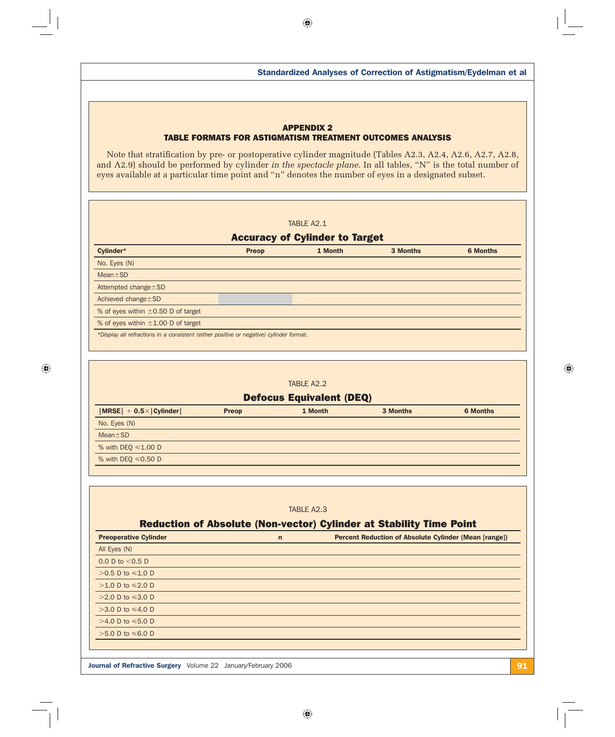# APPENDIX 2 TABLE FORMATS FOR ASTIGMATISM TREATMENT OUTCOMES ANALYSIS

Note that stratification by pre- or postoperative cylinder magnitude (Tables A2.3, A2.4, A2.6, A2.7, A2.8, and A2.9) should be performed by cylinder *in the spectacle plane*. In all tables, "N" is the total number of eyes available at a particular time point and "n" denotes the number of eyes in a designated subset.

# TABLE A2.1

# Accuracy of Cylinder to Target

| Cylinder*                                                                               | <b>Preop</b> | 1 Month | 3 Months | <b>6 Months</b> |
|-----------------------------------------------------------------------------------------|--------------|---------|----------|-----------------|
| No. Eyes (N)                                                                            |              |         |          |                 |
| $Mean \pm SD$                                                                           |              |         |          |                 |
| Attempted change ± SD                                                                   |              |         |          |                 |
| Achieved change $\pm$ SD                                                                |              |         |          |                 |
| % of eyes within $\pm 0.50$ D of target                                                 |              |         |          |                 |
| % of eyes within $\pm 1.00$ D of target                                                 |              |         |          |                 |
| *Display all refractions in a consistent (either positive or negative) cylinder format. |              |         |          |                 |

# TABLE A2.2 Defocus Equivalent (DEQ) |MRSE| + 0.5×|Cylinder| Preop 1 Month 3 Months 6 Months 6 Months No. Eyes (N) Mean ± SD % with  $DEQ \le 1.00 D$ % with DEQ  $\leq 0.50$  D

### TABLE A2.3

# Reduction of Absolute (Non-vector) Cylinder at Stability Time Point

| <b>Preoperative Cylinder</b>                                         | $\mathsf{n}$ | <b>Percent Reduction of Absolute Cylinder (Mean [range])</b> |
|----------------------------------------------------------------------|--------------|--------------------------------------------------------------|
| All Eyes (N)                                                         |              |                                                              |
| 0.0 D to $<$ 0.5 D                                                   |              |                                                              |
| >0.5 D to ≤1.0 D                                                     |              |                                                              |
| $>1.0$ D to $\leq 2.0$ D                                             |              |                                                              |
| >2.0 D to ≤3.0 D                                                     |              |                                                              |
| >3.0 D to ≤4.0 D                                                     |              |                                                              |
| >4.0 D to ≤5.0 D                                                     |              |                                                              |
| >5.0 D to ≤6.0 D                                                     |              |                                                              |
|                                                                      |              |                                                              |
|                                                                      |              |                                                              |
| <b>Journal of Refractive Surgery</b> Volume 22 January/February 2006 |              | 91                                                           |

 $\bigoplus$ 

 $\bigoplus$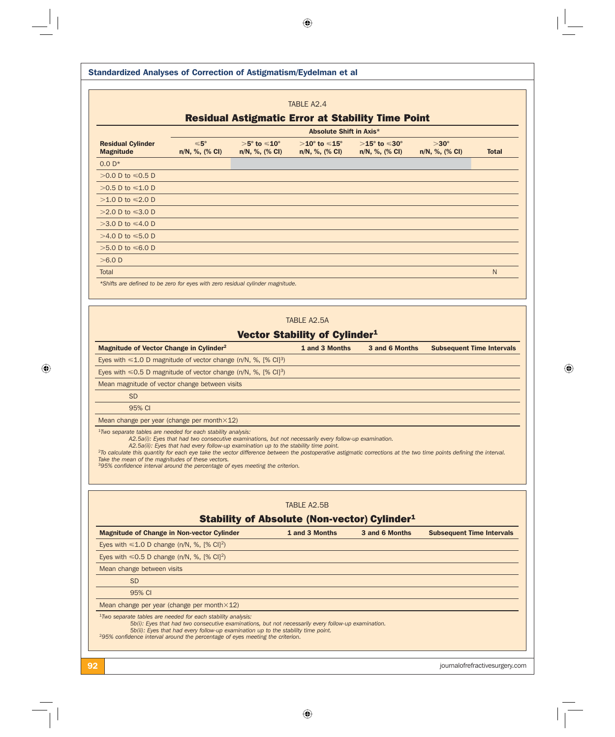$\bigoplus$ 

| <b>Standardized Analyses of Correction of Astigmatism/Eydelman et al</b>                                                                                                                                                                                                                                                                                                                         |                                                                                                                                                                                                |                                                             |                                                                  |                                                              |                                  |              |
|--------------------------------------------------------------------------------------------------------------------------------------------------------------------------------------------------------------------------------------------------------------------------------------------------------------------------------------------------------------------------------------------------|------------------------------------------------------------------------------------------------------------------------------------------------------------------------------------------------|-------------------------------------------------------------|------------------------------------------------------------------|--------------------------------------------------------------|----------------------------------|--------------|
|                                                                                                                                                                                                                                                                                                                                                                                                  |                                                                                                                                                                                                |                                                             | TABLE A2.4                                                       |                                                              |                                  |              |
|                                                                                                                                                                                                                                                                                                                                                                                                  |                                                                                                                                                                                                |                                                             | <b>Residual Astigmatic Error at Stability Time Point</b>         |                                                              |                                  |              |
|                                                                                                                                                                                                                                                                                                                                                                                                  |                                                                                                                                                                                                |                                                             | <b>Absolute Shift in Axis*</b>                                   |                                                              |                                  |              |
| <b>Residual Cylinder</b><br><b>Magnitude</b>                                                                                                                                                                                                                                                                                                                                                     | $≤ 5°$<br>n/N, %, (% CI)                                                                                                                                                                       | $>5^{\circ}$ to $\leqslant$ 10 $^{\circ}$<br>n/N, %, (% CI) | $>$ 10 $^{\circ}$ to $\leqslant$ 15 $^{\circ}$<br>n/N, %, (% CI) | $>15^{\circ}$ to $\leqslant$ 30 $^{\circ}$<br>n/N, %, (% CI) | $>30^\circ$<br>n/N, %, (% CI)    | <b>Total</b> |
| $0.0 D*$                                                                                                                                                                                                                                                                                                                                                                                         |                                                                                                                                                                                                |                                                             |                                                                  |                                                              |                                  |              |
| >0.0 D to ≤0.5 D                                                                                                                                                                                                                                                                                                                                                                                 |                                                                                                                                                                                                |                                                             |                                                                  |                                                              |                                  |              |
| >0.5 D to ≤1.0 D                                                                                                                                                                                                                                                                                                                                                                                 |                                                                                                                                                                                                |                                                             |                                                                  |                                                              |                                  |              |
| >1.0 D to ≤2.0 D                                                                                                                                                                                                                                                                                                                                                                                 |                                                                                                                                                                                                |                                                             |                                                                  |                                                              |                                  |              |
| >2.0 D to ≤3.0 D                                                                                                                                                                                                                                                                                                                                                                                 |                                                                                                                                                                                                |                                                             |                                                                  |                                                              |                                  |              |
| >3.0 D to ≤4.0 D                                                                                                                                                                                                                                                                                                                                                                                 |                                                                                                                                                                                                |                                                             |                                                                  |                                                              |                                  |              |
| >4.0 D to ≤5.0 D                                                                                                                                                                                                                                                                                                                                                                                 |                                                                                                                                                                                                |                                                             |                                                                  |                                                              |                                  |              |
| >5.0 D to ≤6.0 D                                                                                                                                                                                                                                                                                                                                                                                 |                                                                                                                                                                                                |                                                             |                                                                  |                                                              |                                  |              |
| $>6.0$ D                                                                                                                                                                                                                                                                                                                                                                                         |                                                                                                                                                                                                |                                                             |                                                                  |                                                              |                                  |              |
| Total                                                                                                                                                                                                                                                                                                                                                                                            |                                                                                                                                                                                                |                                                             |                                                                  |                                                              |                                  | N            |
| *Shifts are defined to be zero for eyes with zero residual cylinder magnitude.                                                                                                                                                                                                                                                                                                                   |                                                                                                                                                                                                |                                                             |                                                                  |                                                              |                                  |              |
|                                                                                                                                                                                                                                                                                                                                                                                                  |                                                                                                                                                                                                |                                                             |                                                                  |                                                              |                                  |              |
| Magnitude of Vector Change in Cylinder <sup>2</sup>                                                                                                                                                                                                                                                                                                                                              |                                                                                                                                                                                                |                                                             | 1 and 3 Months                                                   | 3 and 6 Months                                               | <b>Subsequent Time Intervals</b> |              |
| Eyes with $\leq 1.0$ D magnitude of vector change (n/N, %, [% CI] <sup>3</sup> )                                                                                                                                                                                                                                                                                                                 |                                                                                                                                                                                                |                                                             |                                                                  |                                                              |                                  |              |
| Eyes with $\leq 0.5$ D magnitude of vector change (n/N, %, [% CI] <sup>3</sup> )                                                                                                                                                                                                                                                                                                                 |                                                                                                                                                                                                |                                                             |                                                                  |                                                              |                                  |              |
| Mean magnitude of vector change between visits                                                                                                                                                                                                                                                                                                                                                   |                                                                                                                                                                                                |                                                             |                                                                  |                                                              |                                  |              |
| <b>SD</b>                                                                                                                                                                                                                                                                                                                                                                                        |                                                                                                                                                                                                |                                                             |                                                                  |                                                              |                                  |              |
| 95% CI                                                                                                                                                                                                                                                                                                                                                                                           |                                                                                                                                                                                                |                                                             |                                                                  |                                                              |                                  |              |
| Mean change per year (change per month $\times$ 12)                                                                                                                                                                                                                                                                                                                                              |                                                                                                                                                                                                |                                                             |                                                                  |                                                              |                                  |              |
| <sup>1</sup> Two separate tables are needed for each stability analysis:<br><sup>2</sup> To calculate this quantity for each eye take the vector difference between the postoperative astigmatic corrections at the two time points defining the interval.<br>Take the mean of the magnitudes of these vectors.<br>395% confidence interval around the percentage of eyes meeting the criterion. | A2.5a(i): Eves that had two consecutive examinations, but not necessarily every follow-up examination.<br>A2.5a(ii): Eyes that had every follow-up examination up to the stability time point. |                                                             |                                                                  |                                                              |                                  |              |
|                                                                                                                                                                                                                                                                                                                                                                                                  |                                                                                                                                                                                                |                                                             | TABLE A2.5B                                                      |                                                              |                                  |              |
|                                                                                                                                                                                                                                                                                                                                                                                                  |                                                                                                                                                                                                |                                                             | <b>Stability of Absolute (Non-vector) Cylinder1</b>              |                                                              |                                  |              |
| <b>Magnitude of Change in Non-vector Cylinder</b>                                                                                                                                                                                                                                                                                                                                                |                                                                                                                                                                                                |                                                             | 1 and 3 Months                                                   | 3 and 6 Months                                               | <b>Subsequent Time Intervals</b> |              |
| Eyes with $\leq 1.0$ D change (n/N, %, [% CI] <sup>2</sup> )                                                                                                                                                                                                                                                                                                                                     |                                                                                                                                                                                                |                                                             |                                                                  |                                                              |                                  |              |
| Eyes with $\leq 0.5$ D change (n/N, %, [% CI] <sup>2</sup> )                                                                                                                                                                                                                                                                                                                                     |                                                                                                                                                                                                |                                                             |                                                                  |                                                              |                                  |              |
| Mean change between visits                                                                                                                                                                                                                                                                                                                                                                       |                                                                                                                                                                                                |                                                             |                                                                  |                                                              |                                  |              |
| <b>SD</b>                                                                                                                                                                                                                                                                                                                                                                                        |                                                                                                                                                                                                |                                                             |                                                                  |                                                              |                                  |              |
| 95% CI                                                                                                                                                                                                                                                                                                                                                                                           |                                                                                                                                                                                                |                                                             |                                                                  |                                                              |                                  |              |
| Mean change per year (change per month×12)                                                                                                                                                                                                                                                                                                                                                       |                                                                                                                                                                                                |                                                             |                                                                  |                                                              |                                  |              |
| <sup>1</sup> Two separate tables are needed for each stability analysis:                                                                                                                                                                                                                                                                                                                         | 5b(i): Eyes that had two consecutive examinations, but not necessarily every follow-up examination.                                                                                            |                                                             |                                                                  |                                                              |                                  |              |

 $\bigoplus$ 

 $\bigoplus$ 

 $\sqrt{\frac{1}{1-\frac{1}{1-\frac{1}{1-\frac{1}{1-\frac{1}{1-\frac{1}{1-\frac{1}{1-\frac{1}{1-\frac{1}{1-\frac{1}{1-\frac{1}{1-\frac{1}{1-\frac{1}{1-\frac{1}{1-\frac{1}{1-\frac{1}{1-\frac{1}{1-\frac{1}{1-\frac{1}{1-\frac{1}{1-\frac{1}{1-\frac{1}{1-\frac{1}{1-\frac{1}{1-\frac{1}{1-\frac{1}{1-\frac{1}{1-\frac{1}{1-\frac{1}{1-\frac{1}{1-\frac{1}{1-\frac{1}{1-\frac{1}{1-\frac{1}{1-\frac{1}{1-\frac{1}{1-\frac$ 

 $\Box$ 

 $\bigoplus$ 

92 journalofrefractivesurgery.com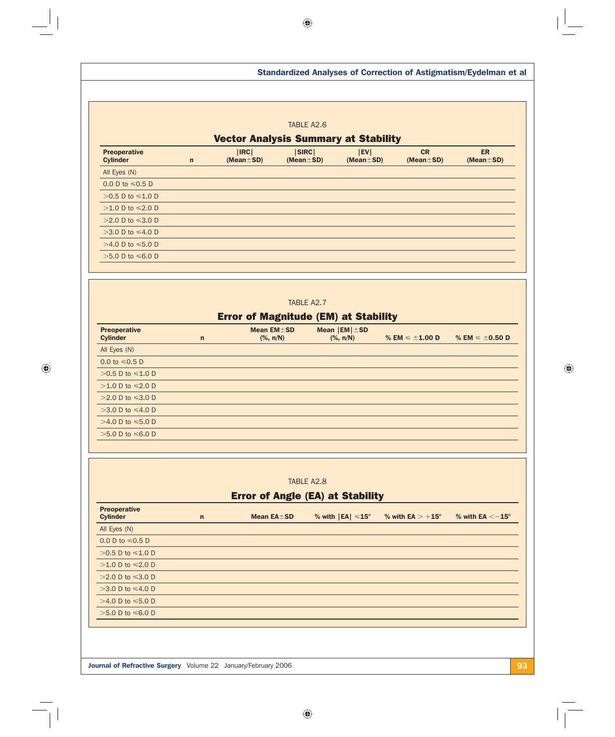$\bigoplus$ 

 $\overline{\phantom{a}}$ 

 $\bigoplus$ 

 $\overline{\overline{\overline{1}}}$ 

|                                        |              |                                                                     | TABLE A2.6                              |                                                                       |                                |                              |
|----------------------------------------|--------------|---------------------------------------------------------------------|-----------------------------------------|-----------------------------------------------------------------------|--------------------------------|------------------------------|
|                                        |              | <b>Vector Analysis Summary at Stability</b>                         |                                         |                                                                       |                                |                              |
| <b>Preoperative</b><br><b>Cylinder</b> | $\mathsf{n}$ | IRC <br>$(Mean \pm SD)$                                             | SIRC <br>$(Mean \pm SD)$                | EV <br>$(Mean \pm SD)$                                                | <b>CR</b><br>$(Mean \pm SD)$   | <b>ER</b><br>$(Mean \pm SD)$ |
| All Eyes (N)                           |              |                                                                     |                                         |                                                                       |                                |                              |
| 0.0 D to $\leq 0.5$ D                  |              |                                                                     |                                         |                                                                       |                                |                              |
| $>0.5$ D to $\leq 1.0$ D               |              |                                                                     |                                         |                                                                       |                                |                              |
| >1.0 D to $\leq$ 2.0 D                 |              |                                                                     |                                         |                                                                       |                                |                              |
| >2.0 D to ≤3.0 D                       |              |                                                                     |                                         |                                                                       |                                |                              |
| >3.0 D to $\leq 4.0$ D                 |              |                                                                     |                                         |                                                                       |                                |                              |
| >4.0 D to ≤5.0 D                       |              |                                                                     |                                         |                                                                       |                                |                              |
| $>5.0$ D to $\leq 6.0$ D               |              |                                                                     |                                         |                                                                       |                                |                              |
|                                        |              |                                                                     |                                         |                                                                       |                                |                              |
|                                        |              |                                                                     | TABLE A2.7                              |                                                                       |                                |                              |
|                                        |              | <b>Error of Magnitude (EM) at Stability</b>                         |                                         |                                                                       |                                |                              |
| <b>Preoperative</b><br><b>Cylinder</b> | $\mathsf{n}$ | Mean $EM \pm SD$<br>$(% \mathsf{R}\mathsf{N})$ (%, $\mathsf{n/N}$ ) |                                         | Mean $ EM  \pm SD$<br>$(% \mathsf{R}\mathsf{N})$ (%, $\mathsf{n/N}$ ) | % EM $\leq$ $\pm$ 1.00 D       | % EM $\leq$ $\pm$ 0.50 D     |
| All Eyes (N)                           |              |                                                                     |                                         |                                                                       |                                |                              |
| 0.0 to $\le 0.5$ D                     |              |                                                                     |                                         |                                                                       |                                |                              |
| >0.5 D to $\leq 1.0$ D                 |              |                                                                     |                                         |                                                                       |                                |                              |
| >1.0 D to $\leq$ 2.0 D                 |              |                                                                     |                                         |                                                                       |                                |                              |
| >2.0 D to ≤3.0 D                       |              |                                                                     |                                         |                                                                       |                                |                              |
| >3.0 D to $\leq 4.0$ D                 |              |                                                                     |                                         |                                                                       |                                |                              |
| >4.0 D to $\leq 5.0$ D                 |              |                                                                     |                                         |                                                                       |                                |                              |
| >5.0 D to ≤6.0 D                       |              |                                                                     |                                         |                                                                       |                                |                              |
|                                        |              |                                                                     |                                         |                                                                       |                                |                              |
|                                        |              |                                                                     |                                         |                                                                       |                                |                              |
|                                        |              |                                                                     | TABLE A2.8                              |                                                                       |                                |                              |
|                                        |              |                                                                     | <b>Error of Angle (EA) at Stability</b> |                                                                       |                                |                              |
| <b>Preoperative</b><br><b>Cylinder</b> | $\mathsf{n}$ | Mean EA±SD                                                          |                                         | % with $ EA  \leq 15^{\circ}$                                         | % with $EA$ $>$ +15 $^{\circ}$ | % with EA $<-15^\circ$       |
| All Eyes (N)                           |              |                                                                     |                                         |                                                                       |                                |                              |
| 0.0 D to $\leq 0.5$ D                  |              |                                                                     |                                         |                                                                       |                                |                              |
|                                        |              |                                                                     |                                         |                                                                       |                                |                              |
| >0.5 D to $\leq 1.0$ D                 |              |                                                                     |                                         |                                                                       |                                |                              |
| >1.0 D to $\leq 2.0$ D                 |              |                                                                     |                                         |                                                                       |                                |                              |
| >2.0 D to $\leq$ 3.0 D                 |              |                                                                     |                                         |                                                                       |                                |                              |
| >3.0 D to $\leq 4.0$ D                 |              |                                                                     |                                         |                                                                       |                                |                              |
| >4.0 D to $\leq 5.0$ D                 |              |                                                                     |                                         |                                                                       |                                |                              |
| >5.0 D to ≤6.0 D                       |              |                                                                     |                                         |                                                                       |                                |                              |

 $\bigoplus$ 

 $\bigoplus$ 

 $\sqrt{\frac{1}{1-\frac{1}{1-\frac{1}{1-\frac{1}{1-\frac{1}{1-\frac{1}{1-\frac{1}{1-\frac{1}{1-\frac{1}{1-\frac{1}{1-\frac{1}{1-\frac{1}{1-\frac{1}{1-\frac{1}{1-\frac{1}{1-\frac{1}{1-\frac{1}{1-\frac{1}{1-\frac{1}{1-\frac{1}{1-\frac{1}{1-\frac{1}{1-\frac{1}{1-\frac{1}{1-\frac{1}{1-\frac{1}{1-\frac{1}{1-\frac{1}{1-\frac{1}{1-\frac{1}{1-\frac{1}{1-\frac{1}{1-\frac{1}{1-\frac{1}{1-\frac{1}{1-\frac{1}{1-\frac$ 

 $\lfloor$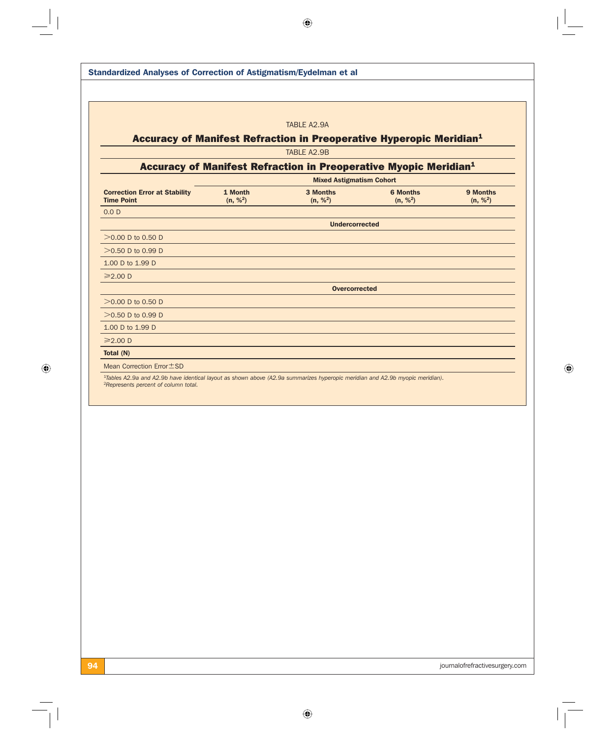| TABLE A2.9A<br>Accuracy of Manifest Refraction in Preoperative Hyperopic Meridian <sup>1</sup><br>TABLE A2.9B<br>Accuracy of Manifest Refraction in Preoperative Myopic Meridian <sup>1</sup><br><b>Mixed Astigmatism Cohort</b><br><b>Correction Error at Stability</b><br><b>6 Months</b><br>9 Months<br>1 Month<br>3 Months<br><b>Time Point</b><br>(n, % <sup>2</sup> )<br>(n, % <sup>2</sup> )<br>(n, % <sup>2</sup> )<br>(n, % <sup>2</sup> )<br>0.0 <sub>D</sub><br><b>Undercorrected</b><br>$>0.00$ D to 0.50 D<br>$>0.50$ D to 0.99 D<br>1.00 D to 1.99 D<br>$\geq 2.00$ D<br><b>Overcorrected</b><br>$>0.00$ D to 0.50 D<br>$>0.50$ D to 0.99 D<br>1.00 D to 1.99 D<br>$\geq 2.00$ D<br>Total (N)<br>Mean Correction Error ± SD<br><sup>1</sup> Tables A2.9a and A2.9b have identical layout as shown above (A2.9a summarizes hyperopic meridian and A2.9b myopic meridian).<br><sup>2</sup> Represents percent of column total. |  |  |  |
|--------------------------------------------------------------------------------------------------------------------------------------------------------------------------------------------------------------------------------------------------------------------------------------------------------------------------------------------------------------------------------------------------------------------------------------------------------------------------------------------------------------------------------------------------------------------------------------------------------------------------------------------------------------------------------------------------------------------------------------------------------------------------------------------------------------------------------------------------------------------------------------------------------------------------------------------|--|--|--|
|                                                                                                                                                                                                                                                                                                                                                                                                                                                                                                                                                                                                                                                                                                                                                                                                                                                                                                                                            |  |  |  |
|                                                                                                                                                                                                                                                                                                                                                                                                                                                                                                                                                                                                                                                                                                                                                                                                                                                                                                                                            |  |  |  |
|                                                                                                                                                                                                                                                                                                                                                                                                                                                                                                                                                                                                                                                                                                                                                                                                                                                                                                                                            |  |  |  |
|                                                                                                                                                                                                                                                                                                                                                                                                                                                                                                                                                                                                                                                                                                                                                                                                                                                                                                                                            |  |  |  |
|                                                                                                                                                                                                                                                                                                                                                                                                                                                                                                                                                                                                                                                                                                                                                                                                                                                                                                                                            |  |  |  |
|                                                                                                                                                                                                                                                                                                                                                                                                                                                                                                                                                                                                                                                                                                                                                                                                                                                                                                                                            |  |  |  |
|                                                                                                                                                                                                                                                                                                                                                                                                                                                                                                                                                                                                                                                                                                                                                                                                                                                                                                                                            |  |  |  |
|                                                                                                                                                                                                                                                                                                                                                                                                                                                                                                                                                                                                                                                                                                                                                                                                                                                                                                                                            |  |  |  |
|                                                                                                                                                                                                                                                                                                                                                                                                                                                                                                                                                                                                                                                                                                                                                                                                                                                                                                                                            |  |  |  |
|                                                                                                                                                                                                                                                                                                                                                                                                                                                                                                                                                                                                                                                                                                                                                                                                                                                                                                                                            |  |  |  |
|                                                                                                                                                                                                                                                                                                                                                                                                                                                                                                                                                                                                                                                                                                                                                                                                                                                                                                                                            |  |  |  |
|                                                                                                                                                                                                                                                                                                                                                                                                                                                                                                                                                                                                                                                                                                                                                                                                                                                                                                                                            |  |  |  |
|                                                                                                                                                                                                                                                                                                                                                                                                                                                                                                                                                                                                                                                                                                                                                                                                                                                                                                                                            |  |  |  |
|                                                                                                                                                                                                                                                                                                                                                                                                                                                                                                                                                                                                                                                                                                                                                                                                                                                                                                                                            |  |  |  |
|                                                                                                                                                                                                                                                                                                                                                                                                                                                                                                                                                                                                                                                                                                                                                                                                                                                                                                                                            |  |  |  |
|                                                                                                                                                                                                                                                                                                                                                                                                                                                                                                                                                                                                                                                                                                                                                                                                                                                                                                                                            |  |  |  |
|                                                                                                                                                                                                                                                                                                                                                                                                                                                                                                                                                                                                                                                                                                                                                                                                                                                                                                                                            |  |  |  |
|                                                                                                                                                                                                                                                                                                                                                                                                                                                                                                                                                                                                                                                                                                                                                                                                                                                                                                                                            |  |  |  |
|                                                                                                                                                                                                                                                                                                                                                                                                                                                                                                                                                                                                                                                                                                                                                                                                                                                                                                                                            |  |  |  |
|                                                                                                                                                                                                                                                                                                                                                                                                                                                                                                                                                                                                                                                                                                                                                                                                                                                                                                                                            |  |  |  |
|                                                                                                                                                                                                                                                                                                                                                                                                                                                                                                                                                                                                                                                                                                                                                                                                                                                                                                                                            |  |  |  |
|                                                                                                                                                                                                                                                                                                                                                                                                                                                                                                                                                                                                                                                                                                                                                                                                                                                                                                                                            |  |  |  |
|                                                                                                                                                                                                                                                                                                                                                                                                                                                                                                                                                                                                                                                                                                                                                                                                                                                                                                                                            |  |  |  |
|                                                                                                                                                                                                                                                                                                                                                                                                                                                                                                                                                                                                                                                                                                                                                                                                                                                                                                                                            |  |  |  |
|                                                                                                                                                                                                                                                                                                                                                                                                                                                                                                                                                                                                                                                                                                                                                                                                                                                                                                                                            |  |  |  |
|                                                                                                                                                                                                                                                                                                                                                                                                                                                                                                                                                                                                                                                                                                                                                                                                                                                                                                                                            |  |  |  |
|                                                                                                                                                                                                                                                                                                                                                                                                                                                                                                                                                                                                                                                                                                                                                                                                                                                                                                                                            |  |  |  |
|                                                                                                                                                                                                                                                                                                                                                                                                                                                                                                                                                                                                                                                                                                                                                                                                                                                                                                                                            |  |  |  |

 $\bigoplus$ 

 $\bigoplus$ 

 $\overline{\mathbb{F}}$ 

 $\overline{-1}$ 

 $\begin{array}{c|c} & & \\ \hline & & \\ \hline & & \\ \hline & & \\ \hline & & \\ \hline & & \\ \hline & & \\ \hline & & \\ \hline & & \\ \hline & & \\ \hline & & \\ \hline & & \\ \hline & & \\ \hline & & \\ \hline & & \\ \hline & & \\ \hline & & \\ \hline & & \\ \hline & & \\ \hline & & \\ \hline & & \\ \hline & & \\ \hline & & \\ \hline & & \\ \hline & & \\ \hline & & \\ \hline & & \\ \hline & & \\ \hline & & \\ \hline & & \\ \hline & & \\ \hline & & \\ \hline & & \\ \hline & & \\ \hline & & \\ \hline &$ 

 $\bigoplus$ 

94 journalofrefractivesurgery.com